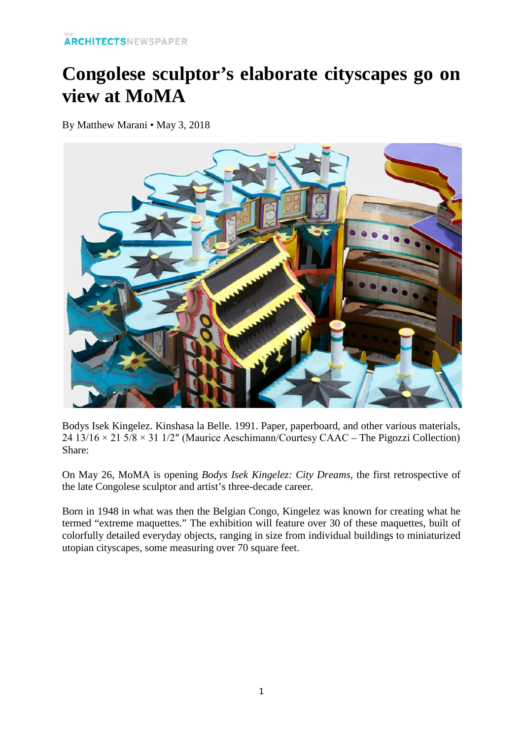## **Congolese sculptor's elaborate cityscapes go on view at MoMA**

By Matthew Marani • May 3, 2018



Bodys Isek Kingelez. Kinshasa la Belle. 1991. Paper, paperboard, and other various materials, 24 13/16  $\times$  21 5/8  $\times$  31 1/2" (Maurice Aeschimann/Courtesy CAAC – The Pigozzi Collection) Share:

On May 26, [MoMA](https://archpaper.com/tag/moma/) is opening *Bodys Isek Kingelez: City Dreams*, the first retrospective of the late Congolese sculptor and artist's three-decade career.

Born in 1948 in what was then the Belgian Congo, Kingelez was known for creating what he termed "extreme maquettes." The exhibition will feature over 30 of these maquettes, built of colorfully detailed everyday objects, ranging in size from individual buildings to miniaturized utopian cityscapes, some measuring over 70 square feet.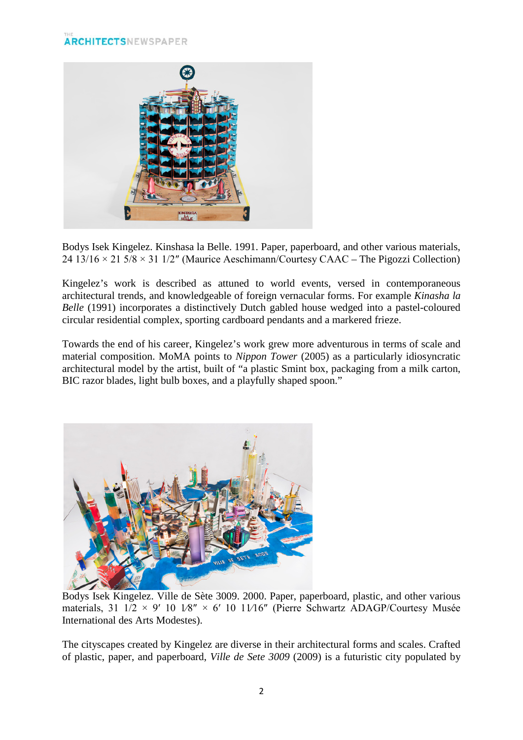## **ARCHITECTSNEWSPAPER**



Bodys Isek Kingelez. Kinshasa la Belle. 1991. Paper, paperboard, and other various materials, 24 13/16  $\times$  21 5/8  $\times$  31 1/2" (Maurice Aeschimann/Courtesy CAAC – The Pigozzi Collection)

Kingelez's work is described as attuned to world events, versed in contemporaneous architectural trends, and knowledgeable of foreign vernacular forms. For example *Kinasha la Belle* (1991) incorporates a distinctively Dutch gabled house wedged into a pastel-coloured circular residential complex, sporting cardboard pendants and a markered frieze.

Towards the end of his career, Kingelez's work grew more adventurous in terms of scale and material composition. MoMA points to *Nippon Tower* (2005) as a particularly idiosyncratic architectural model by the artist, built of "a plastic Smint box, packaging from a milk carton, BIC razor blades, light bulb boxes, and a playfully shaped spoon."



Bodys Isek Kingelez. Ville de Sète 3009. 2000. Paper, paperboard, plastic, and other various materials, 31  $1/2 \times 9'$  10  $1/8'' \times 6'$  10  $11/16''$  (Pierre Schwartz ADAGP/Courtesy Musée International des Arts Modestes).

The cityscapes created by Kingelez are diverse in their architectural forms and scales. Crafted of plastic, paper, and paperboard, *Ville de Sete 3009* (2009) is a futuristic city populated by